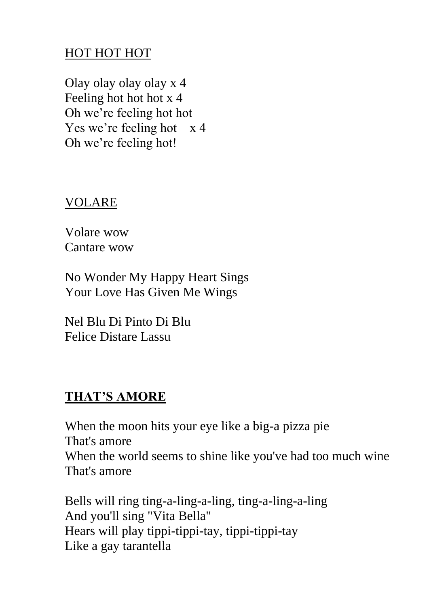## HOT HOT HOT

Olay olay olay olay x 4 Feeling hot hot hot x 4 Oh we're feeling hot hot Yes we're feeling hot x 4 Oh we're feeling hot!

## VOLARE

Volare wow Cantare wow

No Wonder My Happy Heart Sings Your Love Has Given Me Wings

Nel Blu Di Pinto Di Blu Felice Distare Lassu

## **THAT'S AMORE**

When the moon hits your eye like a big-a pizza pie That's amore When the world seems to shine like you've had too much wine That's amore

Bells will ring ting-a-ling-a-ling, ting-a-ling-a-ling And you'll sing "Vita Bella" Hears will play tippi-tippi-tay, tippi-tippi-tay Like a gay tarantella